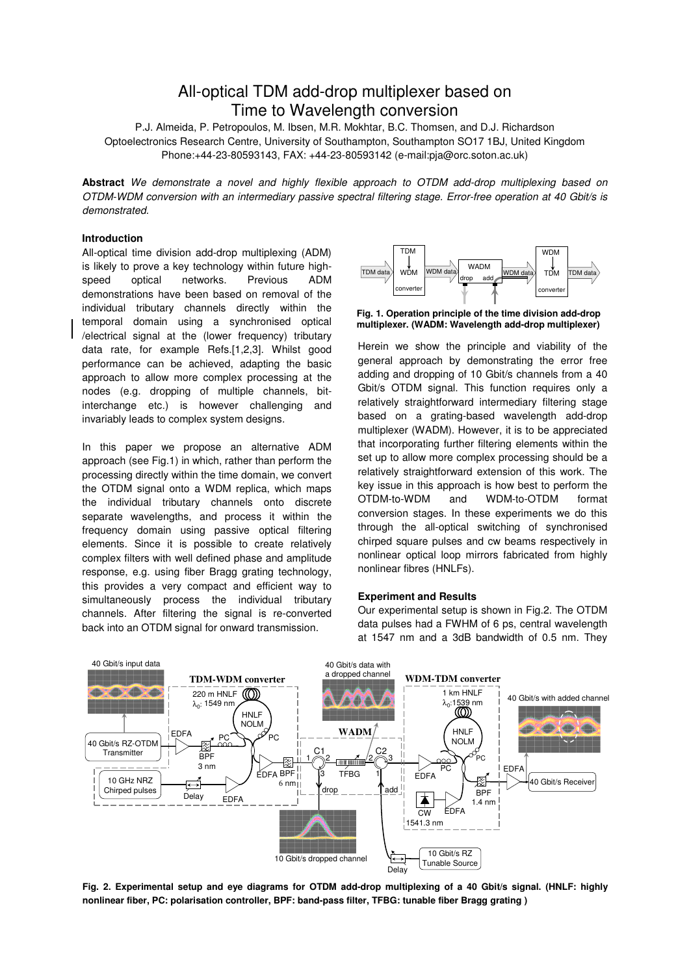# All-optical TDM add-drop multiplexer based on Time to Wavelength conversion

P.J. Almeida, P. Petropoulos, M. Ibsen, M.R. Mokhtar, B.C. Thomsen, and D.J. Richardson Optoelectronics Research Centre, University of Southampton, Southampton SO17 1BJ, United Kingdom Phone:+44-23-80593143, FAX: +44-23-80593142 (e-mail:pja@orc.soton.ac.uk)

**Abstract** *We demonstrate a novel and highly flexible approach to OTDM add-drop multiplexing based on OTDM-WDM conversion with an intermediary passive spectral filtering stage. Error-free operation at 40 Gbit/s is demonstrated.*

## **Introduction**

All-optical time division add-drop multiplexing (ADM) is likely to prove a key technology within future highspeed optical networks. Previous ADM demonstrations have been based on removal of the individual tributary channels directly within the temporal domain using a synchronised optical /electrical signal at the (lower frequency) tributary data rate, for example Refs.[1,2,3]. Whilst good performance can be achieved, adapting the basic approach to allow more complex processing at the nodes (e.g. dropping of multiple channels, bitinterchange etc.) is however challenging and invariably leads to complex system designs.

In this paper we propose an alternative ADM approach (see Fig.1) in which, rather than perform the processing directly within the time domain, we convert the OTDM signal onto a WDM replica, which maps the individual tributary channels onto discrete separate wavelengths, and process it within the frequency domain using passive optical filtering elements. Since it is possible to create relatively complex filters with well defined phase and amplitude response, e.g. using fiber Bragg grating technology, this provides a very compact and efficient way to simultaneously process the individual tributary channels. After filtering the signal is re-converted back into an OTDM signal for onward transmission.



**Fig. 1. Operation principle of the time division add-drop multiplexer. (WADM: Wavelength add-drop multiplexer)**

Herein we show the principle and viability of the general approach by demonstrating the error free adding and dropping of 10 Gbit/s channels from a 40 Gbit/s OTDM signal. This function requires only a relatively straightforward intermediary filtering stage based on a grating-based wavelength add-drop multiplexer (WADM). However, it is to be appreciated that incorporating further filtering elements within the set up to allow more complex processing should be a relatively straightforward extension of this work. The key issue in this approach is how best to perform the OTDM-to-WDM and WDM-to-OTDM format conversion stages. In these experiments we do this through the all-optical switching of synchronised chirped square pulses and cw beams respectively in nonlinear optical loop mirrors fabricated from highly nonlinear fibres (HNLFs).

## **Experiment and Results**

Our experimental setup is shown in Fig.2. The OTDM data pulses had a FWHM of 6 ps, central wavelength at 1547 nm and a 3dB bandwidth of 0.5 nm. They



**Fig. 2. Experimental setup and eye diagrams for OTDM add-drop multiplexing of a 40 Gbit/s signal. (HNLF: highly nonlinear fiber, PC: polarisation controller, BPF: band-pass filter, TFBG: tunable fiber Bragg grating )**